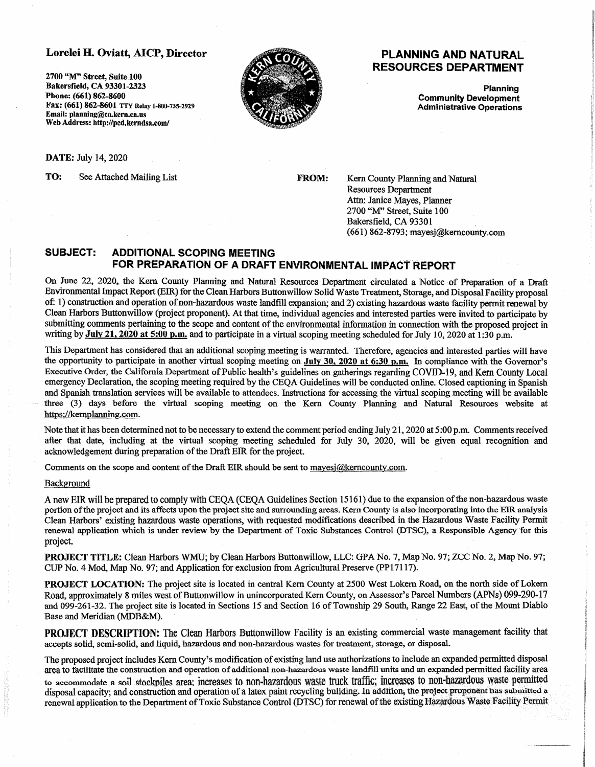## Lorelei H. Oviatt, AICP, Director

**2700 "M" Street, Suite 100 Bakersfield, CA 93301-2323 Phone: (661) 862-8600**  Fax: (661) 862-8601 TTY Relay 1-800-735-2929 **Email: planning@co.kern.ca.us Web Address: http://pcd.kerndsa.com/** 



## **PLANNING AND NATURAL RESOURCES DEPARTMENT**

**Planning Community Development Administrative Operations** 

**DATE;** July 14, 2020

**TO:** See Attached Mailing List

**FROM:** 

Kern County Planning and Natural Resources Department Attn: Janice Mayes, Planner 2700 "M" Street, Suite 100 Bakersfield, CA 93301 ( 661) 862-8793; mayesj@kerncounty.com

## **SUBJECT: ADDITIONAL SCOPING MEETING FOR PREPARATION OF A DRAFT ENVIRONMENTAL IMPACT REPORT**

On June 22, 2020, the Kem County Planning and Natural Resources Department circulated a Notice of Preparation of a Draft Environmental Impact Report (EIR) for the Clean Harbors Buttonwillow Solid Waste Treatment, Storage, and Disposal Facility proposal of: 1) construction and operation of non-hazardous waste landfill expansion; and 2) existing hazardous waste facility permit renewal by Clean Harbors Buttonwillow (project proponent). At that time, individual agencies and interested parties were invited to participate by submitting comments pertaining to the scope and content of the environmental information in connection with the proposed project in writing by **July 21, 2020 at 5:00 p.m.** and to participate in a virtual scoping meeting scheduled for July 10, 2020 at 1:30 p.m.

This Department bas considered that an additional scoping meeting is warranted. Therefore, agencies and interested parties will have the opportunity to participate in another virtual scoping meeting on **July 30, 2020 at 6:30 p.m.** In compliance with the Governor's Executive Order, the California Department of Public health's guidelines on gatherings regarding COVID-19, and Kem County Local emergency Declaration, the scoping meeting required by the CEQA Guidelines will be conducted online. Closed captioning in Spanish and Spanish translation services will be available to attendees. Instructions for accessing the virtual scoping meeting will be available three (3) days before the virtual scoping meeting on the Kern County Planning and Natural Resources website at https://kernplanning.com.

Note that it has been determined not to be necessary to extend the comment period ending July 21, 2020 at 5:00 p.m. Comments received after that date, including at the virtual scoping meeting scheduled for July 30, 2020, will be given equal recognition and acknowledgement during preparation of the Draft EIR for the project.

Comments on the scope and content of the Draft EIR should be sent to mayesi@kemcounty.com.

## **Background**

A new BIR will be prepared to comply with CEQA (CEQA Guidelines Section 15161) due to the expansion of the non-hazardous waste portion of the project and its affects upon the project site and surrounding areas. Kern County is also incorporating into the EIR analysis Clean Harbors' existing hazardous waste operations, with requested modifications described in the Hazardous Waste Facility Permit renewal application which is under review by the Department of Toxic Substances Control (DTSC), a Responsible Agency for this project.

**PROJECT TITLE:** Clean Harbors WMU; by Clean Harbors Buttonwillow, LLC: GPA No. 7, Map No. 97; ZCC No. 2, Map No. 97; CUP No. 4 Mod, Map No. 97; and Application for exclusion from Agricultural Preserve (PPl 7117).

**PROJECT LOCATION:** The project site is located in central Kern County at 2500 West Lokern Road, on the north side of Lokern Road, approximately 8 miles west of Buttonwillow in unincorporated Kern County, on Assessor's Parcel Numbers (APNs) 099-290-17 and 099-261-32. The project site is located in Sections 15 and Section 16 of Township 29 South, Range 22 East, of the Mount Diablo Base and Meridian (MDB&M).

**PROJECT DESCRIPTION:** The Clean Harbors Buttonwillow Facility is an existing commercial waste management facility that accepts solid, semi-solid, and liquid, hazardous and non-hazardous wastes for treatment, storage, or disposal.

The proposed project includes Kem County's modification of existing land use authorizations to include an expanded permitted disposal area to facilitate the construction and operation of additional non-hazardous waste landfill units and an expanded permitted facility area to accommodate a soil stockpiles area; increases to non-hazardous waste truck traffic; increases to non-hazardous waste permitted disposal capacity; and construction and operation of a latex paint recycling building. In addition, the project proponent has submitted a renewal application to the Department of Toxic Substance Control (DTSC) for renewal of the existing Hazardous Waste Facility Permit